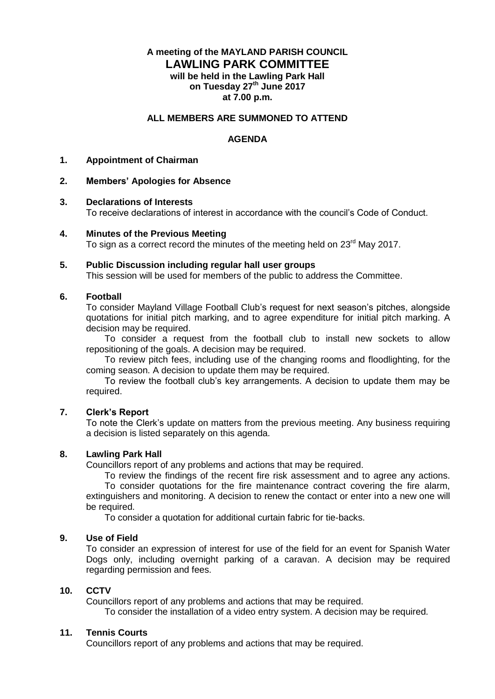# **A meeting of the MAYLAND PARISH COUNCIL LAWLING PARK COMMITTEE will be held in the Lawling Park Hall on Tuesday 27th June 2017 at 7.00 p.m.**

### **ALL MEMBERS ARE SUMMONED TO ATTEND**

## **AGENDA**

#### **1. Appointment of Chairman**

### **2. Members' Apologies for Absence**

#### **3. Declarations of Interests**

To receive declarations of interest in accordance with the council's Code of Conduct.

#### **4. Minutes of the Previous Meeting**

To sign as a correct record the minutes of the meeting held on 23<sup>rd</sup> May 2017.

### **5. Public Discussion including regular hall user groups**

This session will be used for members of the public to address the Committee.

### **6. Football**

To consider Mayland Village Football Club's request for next season's pitches, alongside quotations for initial pitch marking, and to agree expenditure for initial pitch marking. A decision may be required.

To consider a request from the football club to install new sockets to allow repositioning of the goals. A decision may be required.

To review pitch fees, including use of the changing rooms and floodlighting, for the coming season. A decision to update them may be required.

To review the football club's key arrangements. A decision to update them may be required.

## **7. Clerk's Report**

To note the Clerk's update on matters from the previous meeting. Any business requiring a decision is listed separately on this agenda.

## **8. Lawling Park Hall**

Councillors report of any problems and actions that may be required.

To review the findings of the recent fire risk assessment and to agree any actions.

To consider quotations for the fire maintenance contract covering the fire alarm, extinguishers and monitoring. A decision to renew the contact or enter into a new one will be required.

To consider a quotation for additional curtain fabric for tie-backs.

## **9. Use of Field**

To consider an expression of interest for use of the field for an event for Spanish Water Dogs only, including overnight parking of a caravan. A decision may be required regarding permission and fees.

## **10. CCTV**

Councillors report of any problems and actions that may be required. To consider the installation of a video entry system. A decision may be required.

### **11. Tennis Courts**

Councillors report of any problems and actions that may be required.